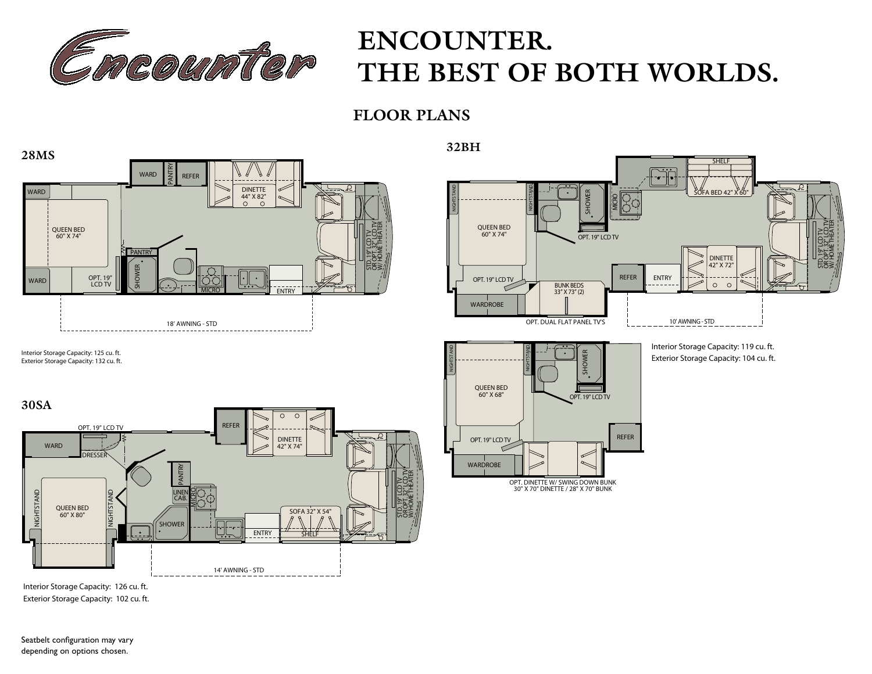

# **ENCOUNTER.** THE BEST OF BOTH WORLDS.

**FLOOR PLANS**



Interior Storage Capacity: 126 cu. ft. Exterior Storage Capacity: 102 cu. ft.

Seatbelt configuration may vary depending on options chosen.